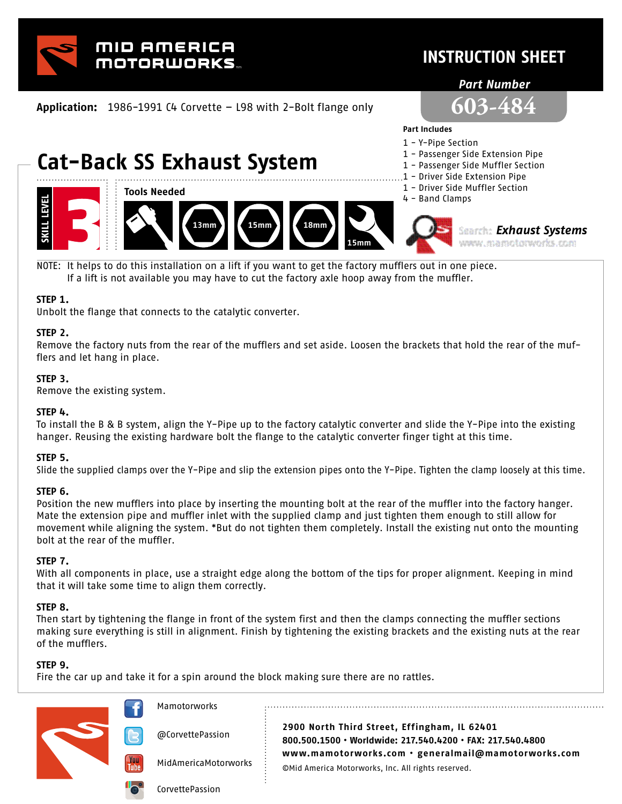

### **INSTRUCTION SHEET**

#### *Part Number*

**Application:** 1986-1991 C4 Corvette – L98 with 2-Bolt flange only



# **Cat-Back SS Exhaust System**



- **Part Includes**  1 - Y-Pipe Section
- 1 Passenger Side Extension Pipe
- 1 Passenger Side Muffler Section
	-
- 1 Driver Side Extension Pipe
- 1 Driver Side Muffler Section 4 - Band Clamps



*Exhaust Systems* www.mamotorworks.com

NOTE: It helps to do this installation on a lift if you want to get the factory mufflers out in one piece. If a lift is not available you may have to cut the factory axle hoop away from the muffler.

#### **STEP 1.**

Unbolt the flange that connects to the catalytic converter.

#### **STEP 2.**

Remove the factory nuts from the rear of the mufflers and set aside. Loosen the brackets that hold the rear of the mufflers and let hang in place.

#### **STEP 3.**

Remove the existing system.

#### **STEP 4.**

To install the B & B system, align the Y-Pipe up to the factory catalytic converter and slide the Y-Pipe into the existing hanger. Reusing the existing hardware bolt the flange to the catalytic converter finger tight at this time.

#### **STEP 5.**

Slide the supplied clamps over the Y-Pipe and slip the extension pipes onto the Y-Pipe. Tighten the clamp loosely at this time.

#### **STEP 6.**

Position the new mufflers into place by inserting the mounting bolt at the rear of the muffler into the factory hanger. Mate the extension pipe and muffler inlet with the supplied clamp and just tighten them enough to still allow for movement while aligning the system. \*But do not tighten them completely. Install the existing nut onto the mounting bolt at the rear of the muffler.

#### **STEP 7.**

With all components in place, use a straight edge along the bottom of the tips for proper alignment. Keeping in mind that it will take some time to align them correctly.

#### **STEP 8.**

Then start by tightening the flange in front of the system first and then the clamps connecting the muffler sections making sure everything is still in alignment. Finish by tightening the existing brackets and the existing nuts at the rear of the mufflers.

#### **STEP 9.**

Fire the car up and take it for a spin around the block making sure there are no rattles.

**Mamotorworks 2900 North Third Street, Effingham, IL 62401** @CorvettePassion **800.500.1500 • Worldwide: 217.540.4200 • FAX: 217.540.4800 www.mamotorworks.com • generalmail@mamotorworks.com** MidAmericaMotorworks ©Mid America Motorworks, Inc. All rights reserved. CorvettePassion